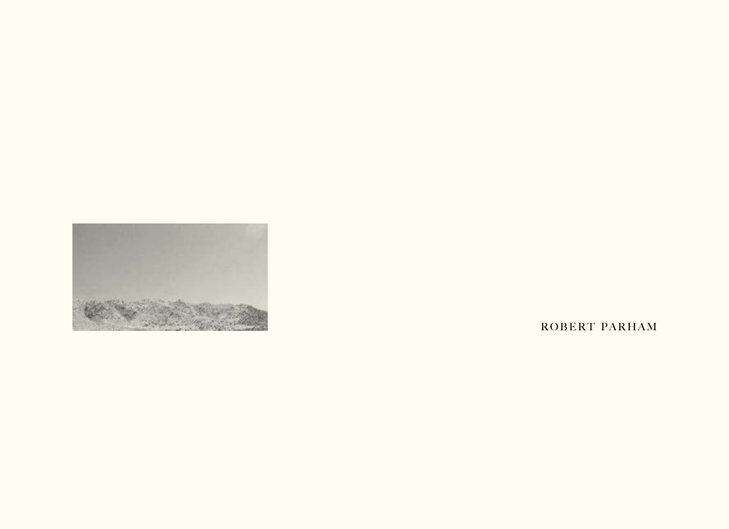

ROBERT PARHAM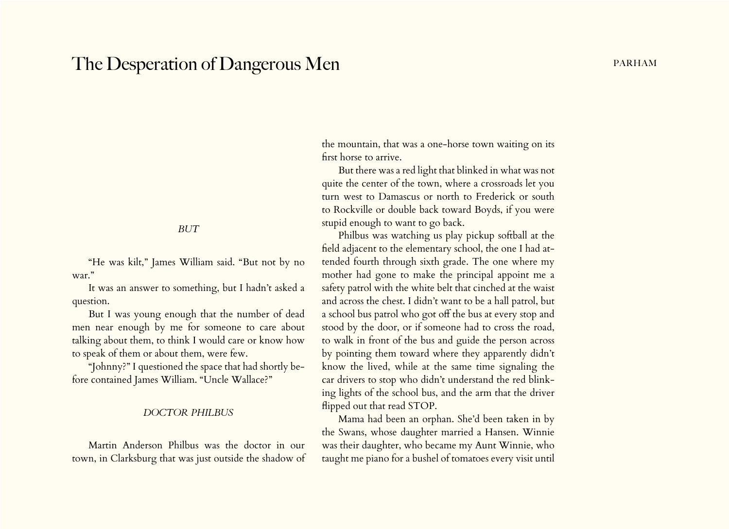# The Desperation of Dangerous Men part of the United States of Dangerous Men

#### *BUT*

"He was kilt," James William said. "But not by no war."

It was an answer to something, but I hadn't asked a question.

But I was young enough that the number of dead men near enough by me for someone to care about talking about them, to think I would care or know how to speak of them or about them, were few.

"Johnny?" I questioned the space that had shortly before contained James William. "Uncle Wallace?"

#### *DOCTOR PHILBUS*

Martin Anderson Philbus was the doctor in our town, in Clarksburg that was just outside the shadow of the mountain, that was a one-horse town waiting on its first horse to arrive.

But there was a red light that blinked in what was not quite the center of the town, where a crossroads let you turn west to Damascus or north to Frederick or south to Rockville or double back toward Boyds, if you were stupid enough to want to go back.

Philbus was watching us play pickup softball at the field adjacent to the elementary school, the one I had attended fourth through sixth grade. The one where my mother had gone to make the principal appoint me a safety patrol with the white belt that cinched at the waist and across the chest. I didn't want to be a hall patrol, but a school bus patrol who got off the bus at every stop and stood by the door, or if someone had to cross the road, to walk in front of the bus and guide the person across by pointing them toward where they apparently didn't know the lived, while at the same time signaling the car drivers to stop who didn't understand the red blinking lights of the school bus, and the arm that the driver flipped out that read STOP.

Mama had been an orphan. She'd been taken in by the Swans, whose daughter married a Hansen. Winnie was their daughter, who became my Aunt Winnie, who taught me piano for a bushel of tomatoes every visit until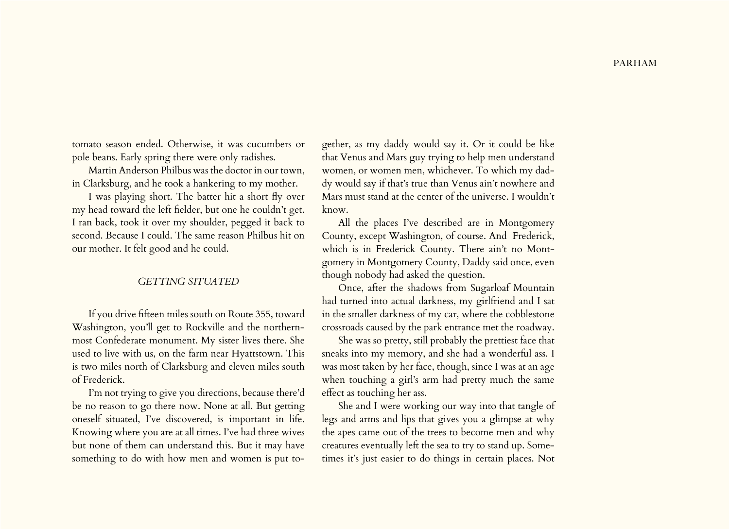tomato season ended. Otherwise, it was cucumbers or pole beans. Early spring there were only radishes.

Martin Anderson Philbus was the doctor in our town, in Clarksburg, and he took a hankering to my mother.

I was playing short. The batter hit a short fly over my head toward the left fielder, but one he couldn't get. I ran back, took it over my shoulder, pegged it back to second. Because I could. The same reason Philbus hit on our mother. It felt good and he could.

#### *GETTING SITUATED*

If you drive fifteen miles south on Route 355, toward Washington, you'll get to Rockville and the northernmost Confederate monument. My sister lives there. She used to live with us, on the farm near Hyattstown. This is two miles north of Clarksburg and eleven miles south of Frederick.

I'm not trying to give you directions, because there'd be no reason to go there now. None at all. But getting oneself situated, I've discovered, is important in life. Knowing where you are at all times. I've had three wives but none of them can understand this. But it may have something to do with how men and women is put together, as my daddy would say it. Or it could be like that Venus and Mars guy trying to help men understand women, or women men, whichever. To which my daddy would say if that's true than Venus ain't nowhere and Mars must stand at the center of the universe. I wouldn't know.

All the places I've described are in Montgomery County, except Washington, of course. And Frederick, which is in Frederick County. There ain't no Montgomery in Montgomery County, Daddy said once, even though nobody had asked the question.

Once, after the shadows from Sugarloaf Mountain had turned into actual darkness, my girlfriend and I sat in the smaller darkness of my car, where the cobblestone crossroads caused by the park entrance met the roadway.

She was so pretty, still probably the prettiest face that sneaks into my memory, and she had a wonderful ass. I was most taken by her face, though, since I was at an age when touching a girl's arm had pretty much the same effect as touching her ass.

She and I were working our way into that tangle of legs and arms and lips that gives you a glimpse at why the apes came out of the trees to become men and why creatures eventually left the sea to try to stand up. Sometimes it's just easier to do things in certain places. Not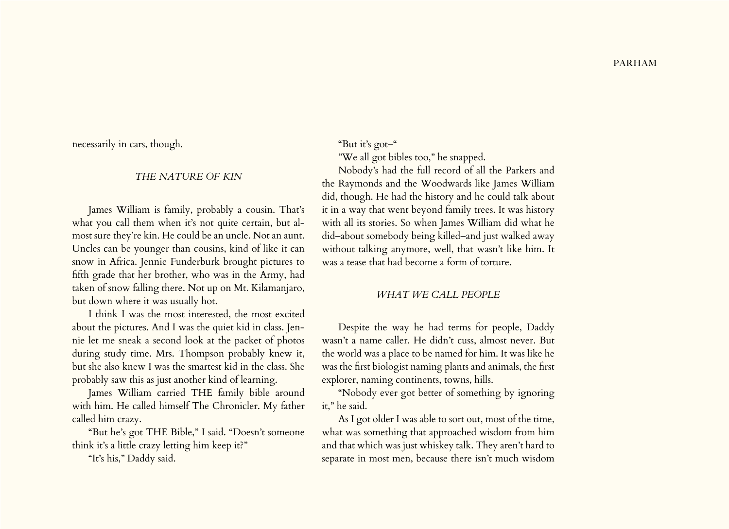necessarily in cars, though.

#### *THE NATURE OF KIN*

James William is family, probably a cousin. That's what you call them when it's not quite certain, but almost sure they're kin. He could be an uncle. Not an aunt. Uncles can be younger than cousins, kind of like it can snow in Africa. Jennie Funderburk brought pictures to fifth grade that her brother, who was in the Army, had taken of snow falling there. Not up on Mt. Kilamanjaro, but down where it was usually hot.

I think I was the most interested, the most excited about the pictures. And I was the quiet kid in class. Jennie let me sneak a second look at the packet of photos during study time. Mrs. Thompson probably knew it, but she also knew I was the smartest kid in the class. She probably saw this as just another kind of learning.

James William carried THE family bible around with him. He called himself The Chronicler. My father called him crazy.

"But he's got THE Bible," I said. "Doesn't someone think it's a little crazy letting him keep it?"

"It's his," Daddy said.

"But it's got–"

"We all got bibles too," he snapped.

Nobody's had the full record of all the Parkers and the Raymonds and the Woodwards like James William did, though. He had the history and he could talk about it in a way that went beyond family trees. It was history with all its stories. So when James William did what he did–about somebody being killed–and just walked away without talking anymore, well, that wasn't like him. It was a tease that had become a form of torture.

#### *WHAT WE CALL PEOPLE*

Despite the way he had terms for people, Daddy wasn't a name caller. He didn't cuss, almost never. But the world was a place to be named for him. It was like he was the first biologist naming plants and animals, the first explorer, naming continents, towns, hills.

"Nobody ever got better of something by ignoring it," he said.

As I got older I was able to sort out, most of the time, what was something that approached wisdom from him and that which was just whiskey talk. They aren't hard to separate in most men, because there isn't much wisdom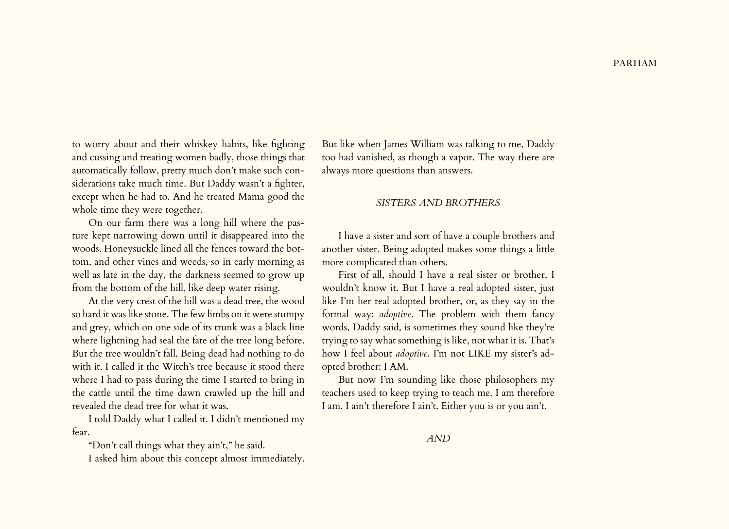to worry about and their whiskey habits, like fighting and cussing and treating women badly, those things that automatically follow, pretty much don't make such considerations take much time. But Daddy wasn't a fighter, except when he had to. And he treated Mama good the whole time they were together.

On our farm there was a long hill where the pasture kept narrowing down until it disappeared into the woods. Honeysuckle lined all the fences toward the bottom, and other vines and weeds, so in early morning as well as late in the day, the darkness seemed to grow up from the bottom of the hill, like deep water rising.

At the very crest of the hill was a dead tree, the wood so hard it was like stone. The few limbs on it were stumpy and grey, which on one side of its trunk was a black line where lightning had seal the fate of the tree long before. But the tree wouldn't fall. Being dead had nothing to do with it. I called it the Witch's tree because it stood there where I had to pass during the time I started to bring in the cattle until the time dawn crawled up the hill and revealed the dead tree for what it was.

I told Daddy what I called it. I didn't mentioned my fear.

"Don't call things what they ain't," he said.

I asked him about this concept almost immediately.

But like when James William was talking to me, Daddy too had vanished, as though a vapor. The way there are always more questions than answers.

#### *SISTERS AND BROTHERS*

I have a sister and sort of have a couple brothers and another sister. Being adopted makes some things a little more complicated than others.

First of all, should I have a real sister or brother, I wouldn't know it. But I have a real adopted sister, just like I'm her real adopted brother, or, as they say in the formal way: *adoptive*. The problem with them fancy words, Daddy said, is sometimes they sound like they're trying to say what something is like, not what it is. That's how I feel about *adoptive*. I'm not LIKE my sister's adopted brother: I AM.

But now I'm sounding like those philosophers my teachers used to keep trying to teach me. I am therefore I am. I ain't therefore I ain't. Either you is or you ain't.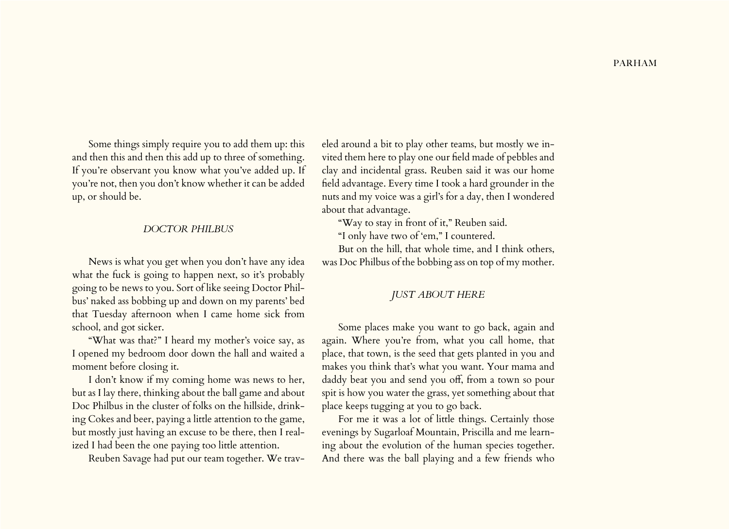Some things simply require you to add them up: this and then this and then this add up to three of something. If you're observant you know what you've added up. If you're not, then you don't know whether it can be added up, or should be.

#### *DOCTOR PHILBUS*

News is what you get when you don't have any idea what the fuck is going to happen next, so it's probably going to be news to you. Sort of like seeing Doctor Philbus' naked ass bobbing up and down on my parents' bed that Tuesday afternoon when I came home sick from school, and got sicker.

"What was that?" I heard my mother's voice say, as I opened my bedroom door down the hall and waited a moment before closing it.

I don't know if my coming home was news to her, but as I lay there, thinking about the ball game and about Doc Philbus in the cluster of folks on the hillside, drinking Cokes and beer, paying a little attention to the game, but mostly just having an excuse to be there, then I realized I had been the one paying too little attention.

Reuben Savage had put our team together. We trav-

eled around a bit to play other teams, but mostly we invited them here to play one our field made of pebbles and clay and incidental grass. Reuben said it was our home field advantage. Every time I took a hard grounder in the nuts and my voice was a girl's for a day, then I wondered about that advantage.

"Way to stay in front of it," Reuben said.

"I only have two of 'em," I countered.

But on the hill, that whole time, and I think others, was Doc Philbus of the bobbing ass on top of my mother.

## *JUST ABOUT HERE*

Some places make you want to go back, again and again. Where you're from, what you call home, that place, that town, is the seed that gets planted in you and makes you think that's what you want. Your mama and daddy beat you and send you off, from a town so pour spit is how you water the grass, yet something about that place keeps tugging at you to go back.

For me it was a lot of little things. Certainly those evenings by Sugarloaf Mountain, Priscilla and me learning about the evolution of the human species together. And there was the ball playing and a few friends who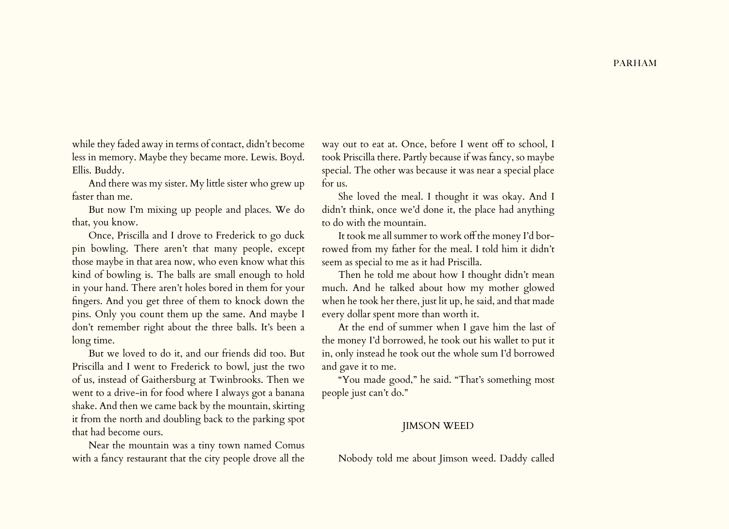while they faded away in terms of contact, didn't become less in memory. Maybe they became more. Lewis. Boyd. Ellis. Buddy.

And there was my sister. My little sister who grew up faster than me.

But now I'm mixing up people and places. We do that, you know.

Once, Priscilla and I drove to Frederick to go duck pin bowling. There aren't that many people, except those maybe in that area now, who even know what this kind of bowling is. The balls are small enough to hold in your hand. There aren't holes bored in them for your fingers. And you get three of them to knock down the pins. Only you count them up the same. And maybe I don't remember right about the three balls. It's been a long time.

But we loved to do it, and our friends did too. But Priscilla and I went to Frederick to bowl, just the two of us, instead of Gaithersburg at Twinbrooks. Then we went to a drive-in for food where I always got a banana shake. And then we came back by the mountain, skirting it from the north and doubling back to the parking spot that had become ours.

Near the mountain was a tiny town named Comus with a fancy restaurant that the city people drove all the

way out to eat at. Once, before I went off to school, I took Priscilla there. Partly because if was fancy, so maybe special. The other was because it was near a special place for us.

She loved the meal. I thought it was okay. And I didn't think, once we'd done it, the place had anything to do with the mountain.

It took me all summer to work off the money I'd borrowed from my father for the meal. I told him it didn't seem as special to me as it had Priscilla.

Then he told me about how I thought didn't mean much. And he talked about how my mother glowed when he took her there, just lit up, he said, and that made every dollar spent more than worth it.

At the end of summer when I gave him the last of the money I'd borrowed, he took out his wallet to put it in, only instead he took out the whole sum I'd borrowed and gave it to me.

"You made good," he said. "That's something most people just can't do."

### JIMSON WEED

Nobody told me about Jimson weed. Daddy called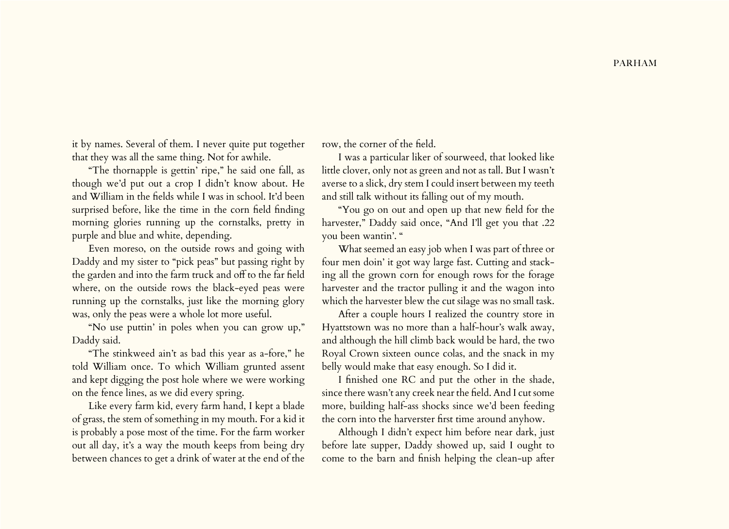it by names. Several of them. I never quite put together that they was all the same thing. Not for awhile.

"The thornapple is gettin' ripe," he said one fall, as though we'd put out a crop I didn't know about. He and William in the fields while I was in school. It'd been surprised before, like the time in the corn field finding morning glories running up the cornstalks, pretty in purple and blue and white, depending.

Even moreso, on the outside rows and going with Daddy and my sister to "pick peas" but passing right by the garden and into the farm truck and off to the far field where, on the outside rows the black-eyed peas were running up the cornstalks, just like the morning glory was, only the peas were a whole lot more useful.

"No use puttin' in poles when you can grow up," Daddy said.

"The stinkweed ain't as bad this year as a-fore," he told William once. To which William grunted assent and kept digging the post hole where we were working on the fence lines, as we did every spring.

Like every farm kid, every farm hand, I kept a blade of grass, the stem of something in my mouth. For a kid it is probably a pose most of the time. For the farm worker out all day, it's a way the mouth keeps from being dry between chances to get a drink of water at the end of the

row, the corner of the field.

I was a particular liker of sourweed, that looked like little clover, only not as green and not as tall. But I wasn't averse to a slick, dry stem I could insert between my teeth and still talk without its falling out of my mouth.

"You go on out and open up that new field for the harvester," Daddy said once, "And I'll get you that .22 you been wantin'. "

What seemed an easy job when I was part of three or four men doin' it got way large fast. Cutting and stacking all the grown corn for enough rows for the forage harvester and the tractor pulling it and the wagon into which the harvester blew the cut silage was no small task.

After a couple hours I realized the country store in Hyattstown was no more than a half-hour's walk away, and although the hill climb back would be hard, the two Royal Crown sixteen ounce colas, and the snack in my belly would make that easy enough. So I did it.

I finished one RC and put the other in the shade, since there wasn't any creek near the field. And I cut some more, building half-ass shocks since we'd been feeding the corn into the harverster first time around anyhow.

Although I didn't expect him before near dark, just before late supper, Daddy showed up, said I ought to come to the barn and finish helping the clean-up after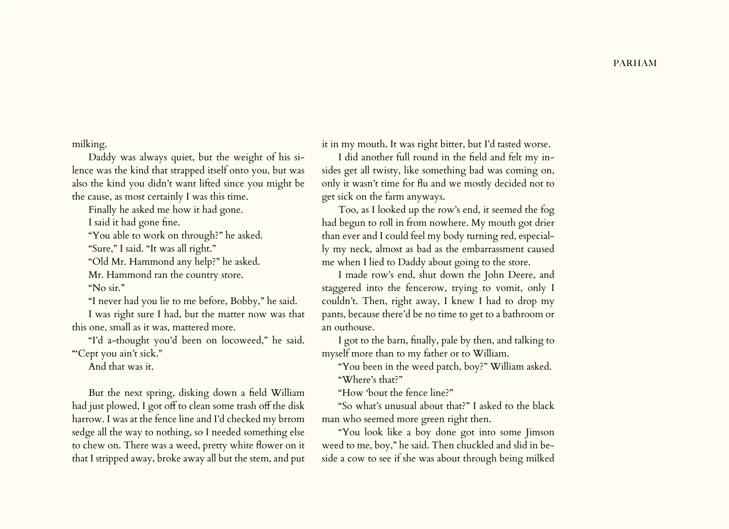milking.

Daddy was always quiet, but the weight of his silence was the kind that strapped itself onto you, but was also the kind you didn't want lifted since you might be the cause, as most certainly I was this time.

Finally he asked me how it had gone.

I said it had gone fine.

"You able to work on through?" he asked.

"Sure," I said. "It was all right."

"Old Mr. Hammond any help?" he asked.

Mr. Hammond ran the country store.

"No sir."

"I never had you lie to me before, Bobby," he said.

I was right sure I had, but the matter now was that this one, small as it was, mattered more.

"I'd a-thought you'd been on locoweed," he said. "Cept you ain't sick."

And that was it.

But the next spring, disking down a field William had just plowed, I got off to clean some trash off the disk harrow. I was at the fence line and I'd checked my brrom sedge all the way to nothing, so I needed something else to chew on. There was a weed, pretty white flower on it that I stripped away, broke away all but the stem, and put it in my mouth. It was right bitter, but I'd tasted worse.

I did another full round in the field and felt my insides get all twisty, like something bad was coming on, only it wasn't time for flu and we mostly decided not to get sick on the farm anyways.

Too, as I looked up the row's end, it seemed the fog had begun to roll in from nowhere. My mouth got drier than ever and I could feel my body turning red, especially my neck, almost as bad as the embarrassment caused me when I lied to Daddy about going to the store.

I made row's end, shut down the John Deere, and staggered into the fencerow, trying to vomit, only I couldn't. Then, right away, I knew I had to drop my pants, because there'd be no time to get to a bathroom or an outhouse.

I got to the barn, finally, pale by then, and talking to myself more than to my father or to William.

"You been in the weed patch, boy?" William asked. "Where's that?"

"How 'bout the fence line?"

"So what's unusual about that?" I asked to the black man who seemed more green right then.

"You look like a boy done got into some Jimson weed to me, boy," he said. Then chuckled and slid in beside a cow to see if she was about through being milked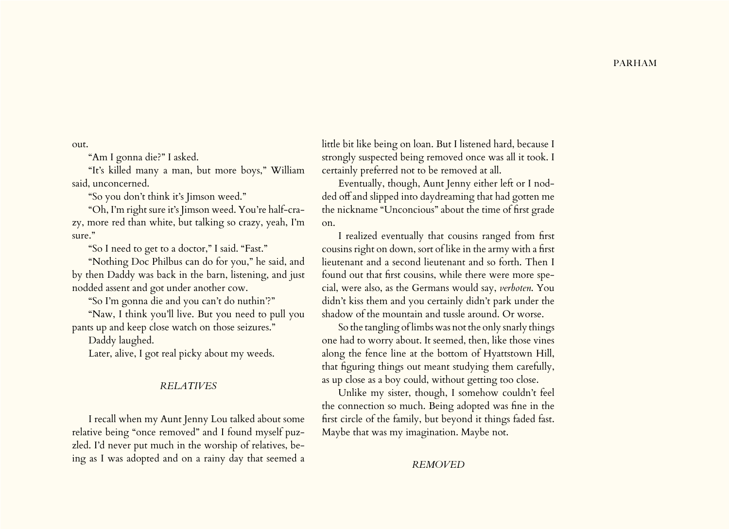out.

"Am I gonna die?" I asked.

"It's killed many a man, but more boys," William said, unconcerned.

"So you don't think it's Jimson weed."

"Oh, I'm right sure it's Jimson weed. You're half-crazy, more red than white, but talking so crazy, yeah, I'm sure."

"So I need to get to a doctor," I said. "Fast."

"Nothing Doc Philbus can do for you," he said, and by then Daddy was back in the barn, listening, and just nodded assent and got under another cow.

"So I'm gonna die and you can't do nuthin'?"

"Naw, I think you'll live. But you need to pull you pants up and keep close watch on those seizures."

Daddy laughed.

Later, alive, I got real picky about my weeds.

#### *RELATIVES*

I recall when my Aunt Jenny Lou talked about some relative being "once removed" and I found myself puzzled. I'd never put much in the worship of relatives, being as I was adopted and on a rainy day that seemed a little bit like being on loan. But I listened hard, because I strongly suspected being removed once was all it took. I certainly preferred not to be removed at all.

Eventually, though, Aunt Jenny either left or I nodded off and slipped into daydreaming that had gotten me the nickname "Unconcious" about the time of first grade on.

I realized eventually that cousins ranged from first cousins right on down, sort of like in the army with a first lieutenant and a second lieutenant and so forth. Then I found out that first cousins, while there were more special, were also, as the Germans would say, *verboten*. You didn't kiss them and you certainly didn't park under the shadow of the mountain and tussle around. Or worse.

So the tangling of limbs was not the only snarly things one had to worry about. It seemed, then, like those vines along the fence line at the bottom of Hyattstown Hill, that figuring things out meant studying them carefully, as up close as a boy could, without getting too close.

Unlike my sister, though, I somehow couldn't feel the connection so much. Being adopted was fine in the first circle of the family, but beyond it things faded fast. Maybe that was my imagination. Maybe not.

#### *REMOVED*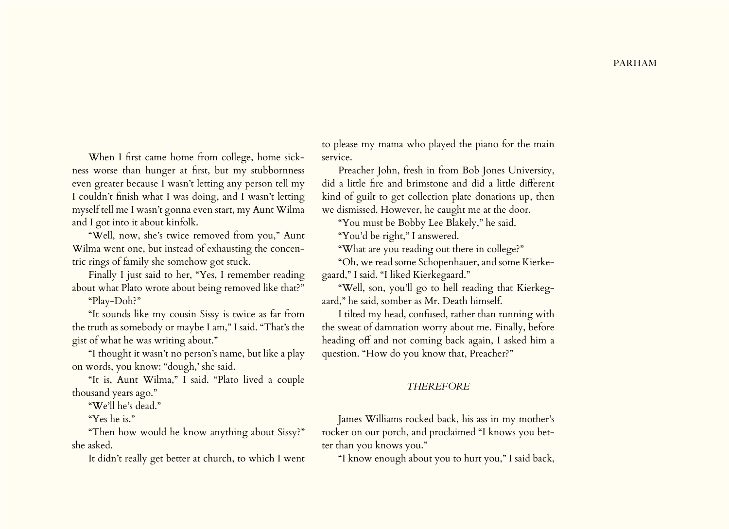When I first came home from college, home sickness worse than hunger at first, but my stubbornness even greater because I wasn't letting any person tell my I couldn't finish what I was doing, and I wasn't letting myself tell me I wasn't gonna even start, my Aunt Wilma and I got into it about kinfolk.

"Well, now, she's twice removed from you," Aunt Wilma went one, but instead of exhausting the concentric rings of family she somehow got stuck.

Finally I just said to her, "Yes, I remember reading about what Plato wrote about being removed like that?"

"Play-Doh?"

"It sounds like my cousin Sissy is twice as far from the truth as somebody or maybe I am," I said. "That's the gist of what he was writing about."

"I thought it wasn't no person's name, but like a play on words, you know: "dough,' she said.

"It is, Aunt Wilma," I said. "Plato lived a couple thousand years ago."

"We'll he's dead."

"Yes he is."

"Then how would he know anything about Sissy?" she asked.

It didn't really get better at church, to which I went

to please my mama who played the piano for the main service.

Preacher John, fresh in from Bob Jones University, did a little fire and brimstone and did a little different kind of guilt to get collection plate donations up, then we dismissed. However, he caught me at the door.

"You must be Bobby Lee Blakely," he said.

"You'd be right," I answered.

"What are you reading out there in college?"

"Oh, we read some Schopenhauer, and some Kierkegaard," I said. "I liked Kierkegaard."

"Well, son, you'll go to hell reading that Kierkegaard," he said, somber as Mr. Death himself.

I tilted my head, confused, rather than running with the sweat of damnation worry about me. Finally, before heading off and not coming back again, I asked him a question. "How do you know that, Preacher?"

#### *THEREFORE*

James Williams rocked back, his ass in my mother's rocker on our porch, and proclaimed "I knows you better than you knows you."

"I know enough about you to hurt you," I said back,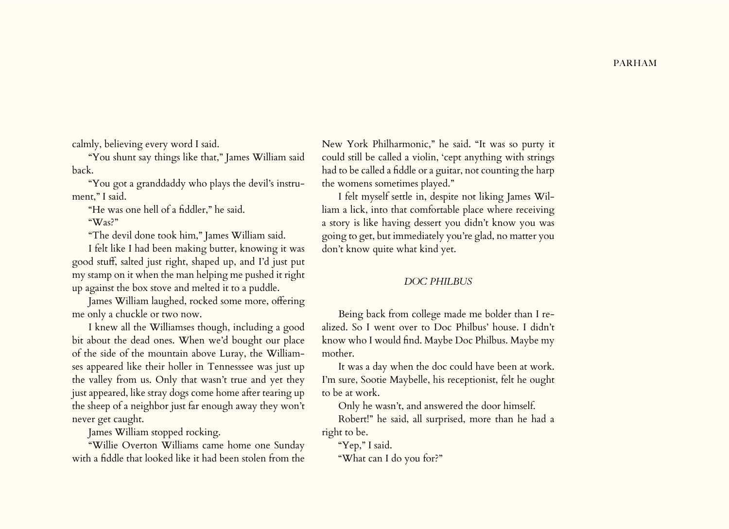calmly, believing every word I said.

"You shunt say things like that," James William said back.

"You got a granddaddy who plays the devil's instrument," I said.

"He was one hell of a fiddler," he said.

"Was?"

"The devil done took him," James William said.

I felt like I had been making butter, knowing it was good stuff, salted just right, shaped up, and I'd just put my stamp on it when the man helping me pushed it right up against the box stove and melted it to a puddle.

James William laughed, rocked some more, offering me only a chuckle or two now.

I knew all the Williamses though, including a good bit about the dead ones. When we'd bought our place of the side of the mountain above Luray, the Williamses appeared like their holler in Tennesssee was just up the valley from us. Only that wasn't true and yet they just appeared, like stray dogs come home after tearing up the sheep of a neighbor just far enough away they won't never get caught.

James William stopped rocking.

"Willie Overton Williams came home one Sunday with a fiddle that looked like it had been stolen from the

New York Philharmonic," he said. "It was so purty it could still be called a violin, 'cept anything with strings had to be called a fiddle or a guitar, not counting the harp the womens sometimes played."

I felt myself settle in, despite not liking James William a lick, into that comfortable place where receiving a story is like having dessert you didn't know you was going to get, but immediately you're glad, no matter you don't know quite what kind yet.

## *DOC PHILBUS*

Being back from college made me bolder than I realized. So I went over to Doc Philbus' house. I didn't know who I would find. Maybe Doc Philbus. Maybe my mother.

It was a day when the doc could have been at work. I'm sure, Sootie Maybelle, his receptionist, felt he ought to be at work.

Only he wasn't, and answered the door himself.

Robert!" he said, all surprised, more than he had a right to be.

"Yep," I said.

"What can I do you for?"